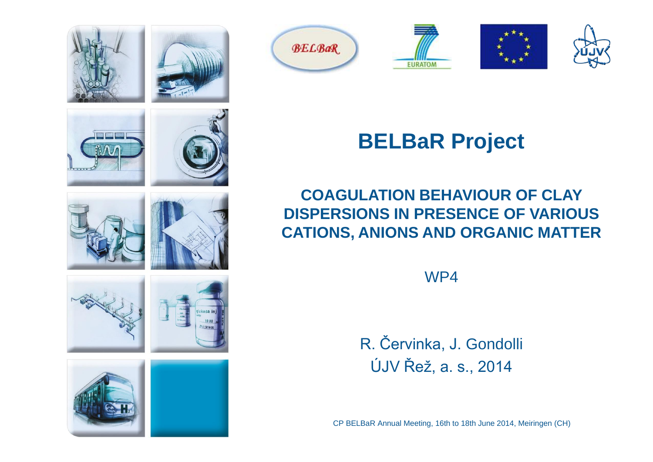











## **BELBaR Project**

#### **COAGULATION BEHAVIOUR OF CLAY DISPERSIONS IN PRESENCE OF VARIOUS CATIONS, ANIONS AND ORGANIC MATTER**

WP4

R. Červinka, J. Gondolli ÚJV Řež, a. s., 2014

CP BELBaR Annual Meeting, 16th to 18th June 2014, Meiringen (CH)













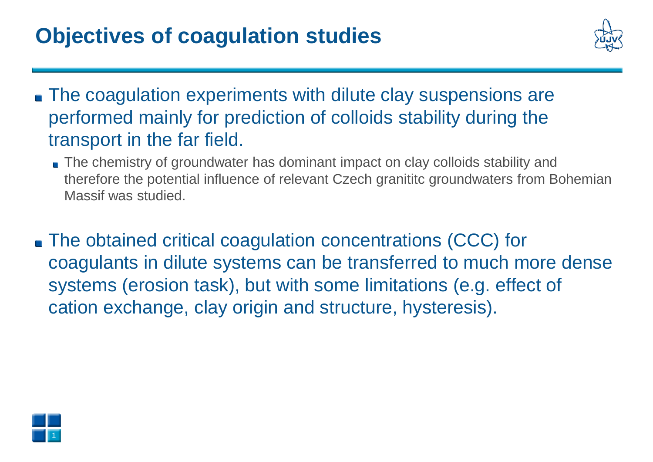### **Objectives of coagulation studies**



- **The coagulation experiments with dilute clay suspensions are** performed mainly for prediction of colloids stability during the transport in the far field.
	- The chemistry of groundwater has dominant impact on clay colloids stability and therefore the potential influence of relevant Czech granititc groundwaters from Bohemian Massif was studied.
- The obtained critical coagulation concentrations (CCC) for coagulants in dilute systems can be transferred to much more dense systems (erosion task), but with some limitations (e.g. effect of cation exchange, clay origin and structure, hysteresis).

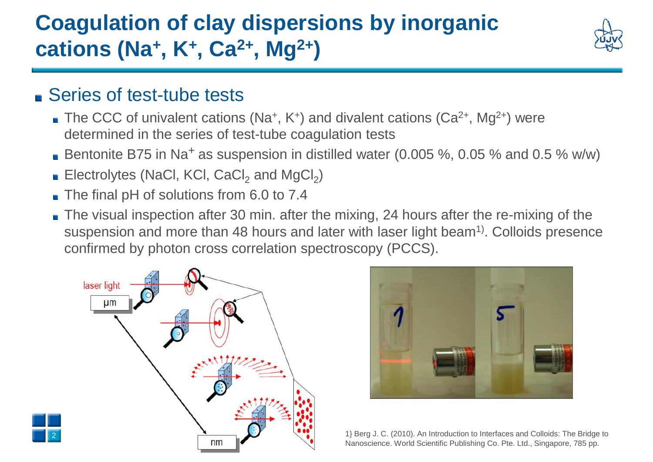

### ■ Series of test-tube tests

2

- The CCC of univalent cations (Na<sup>+</sup>, K<sup>+</sup>) and divalent cations (Ca<sup>2+</sup>, Mg<sup>2+</sup>) were determined in the series of test-tube coagulation tests
- Bentonite B75 in Na<sup>+</sup> as suspension in distilled water (0.005 %, 0.05 % and 0.5 % w/w)
- Electrolytes (NaCl, KCl, CaCl<sub>2</sub> and MgCl<sub>2</sub>)
- The final pH of solutions from 6.0 to 7.4
- The visual inspection after 30 min. after the mixing, 24 hours after the re-mixing of the suspension and more than 48 hours and later with laser light beam<sup>1)</sup>. Colloids presence confirmed by photon cross correlation spectroscopy (PCCS).





1} Berg J. C. (2010). An Introduction to Interfaces and Colloids: The Bridge to Nanoscience. World Scientific Publishing Co. Pte. Ltd., Singapore, 785 pp.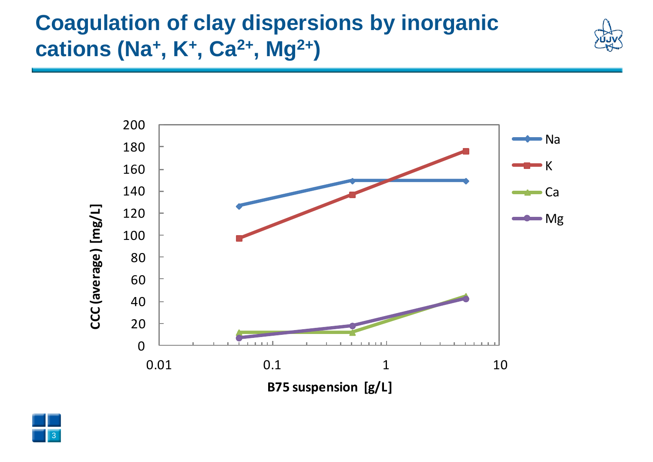



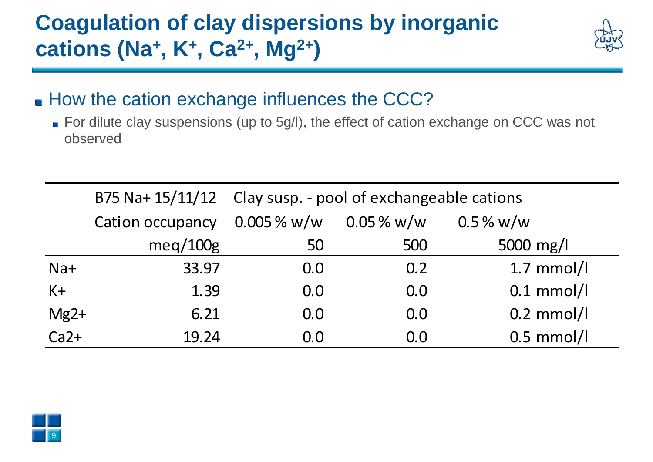

- How the cation exchange influences the CCC?
	- For dilute clay suspensions (up to 5g/l), the effect of cation exchange on CCC was not observed

|        |                         | B75 Na+ 15/11/12 Clay susp. - pool of exchangeable cations |                |              |  |  |  |  |
|--------|-------------------------|------------------------------------------------------------|----------------|--------------|--|--|--|--|
|        | <b>Cation occupancy</b> | $0.005\%$ w/w                                              | $0.05\,\%$ w/w | $0.5\%$ w/w  |  |  |  |  |
|        | meq/100g                | 50                                                         | 500            | 5000 mg/l    |  |  |  |  |
| $Na+$  | 33.97                   | 0.0                                                        | 0.2            | $1.7$ mmol/l |  |  |  |  |
| $K +$  | 1.39                    | 0.0                                                        | 0.0            | $0.1$ mmol/l |  |  |  |  |
| $Mg2+$ | 6.21                    | 0.0                                                        | 0.0            | $0.2$ mmol/l |  |  |  |  |
| $Ca2+$ | 19.24                   | 0.0                                                        | 0.0            | $0.5$ mmol/l |  |  |  |  |

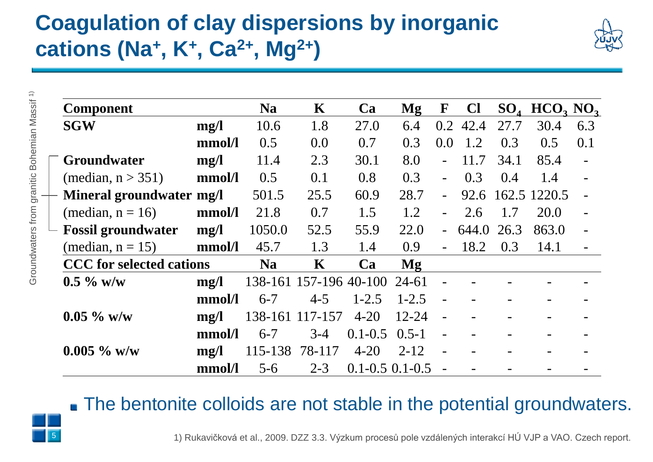

| <b>Component</b>                                      |        | <b>Na</b> | $\mathbf K$            | Ca                     | Mg            | $\mathbf{F}$             | <b>Cl</b> | $SO_{4}$ | HCO <sub>3</sub> NO <sub>3</sub> |     |
|-------------------------------------------------------|--------|-----------|------------------------|------------------------|---------------|--------------------------|-----------|----------|----------------------------------|-----|
| <b>SGW</b>                                            | mg/l   | 10.6      | 1.8                    | 27.0                   | 6.4           | 0.2                      | 42.4      | 27.7     | 30.4                             | 6.3 |
|                                                       | mmol/l | 0.5       | 0.0                    | 0.7                    | 0.3           | 0.0                      | 1.2       | 0.3      | 0.5                              | 0.1 |
| Groundwater                                           | mg/l   | 11.4      | 2.3                    | 30.1                   | 8.0           | $\overline{\phantom{a}}$ | 11.7      | 34.1     | 85.4                             |     |
| (median, $n > 351$ )                                  | mmol/l | 0.5       | 0.1                    | 0.8                    | 0.3           | $\overline{\phantom{a}}$ | 0.3       | 0.4      | 1.4                              |     |
| - Mineral groundwater mg/l                            |        | 501.5     | 25.5                   | 60.9                   | 28.7          | $\equiv$                 | 92.6      |          | 162.5 1220.5                     |     |
| (median, $n = 16$ )                                   | mmol/l | 21.8      | 0.7                    | 1.5                    | 1.2           |                          | 2.6       | 1.7      | 20.0                             |     |
| <b>Fossil groundwater</b><br>$\overline{\phantom{0}}$ | mg/l   | 1050.0    | 52.5                   | 55.9                   | 22.0          | $\equiv$                 | 644.0     | 26.3     | 863.0                            |     |
| (median, $n = 15$ )                                   | mmol/l | 45.7      | 1.3                    | 1.4                    | 0.9           | $\blacksquare$           | 18.2      | 0.3      | 14.1                             |     |
| <b>CCC</b> for selected cations                       |        | <b>Na</b> | $\mathbf K$            | Ca                     | $\mathbf{Mg}$ |                          |           |          |                                  |     |
| $0.5\%$ w/w                                           | mg/l   |           | 138-161 157-196 40-100 |                        | $24 - 61$     |                          |           |          |                                  |     |
|                                                       | mmol/l | $6 - 7$   | $4 - 5$                | $1 - 2.5$              | $1 - 2.5$     |                          |           |          |                                  |     |
| $0.05 \%$ w/w                                         | mg/l   |           | 138-161 117-157        | $4 - 20$               | $12 - 24$     |                          |           |          |                                  |     |
|                                                       | mmol/l | $6 - 7$   | $3-4$                  | $0.1 - 0.5$            | $0.5 - 1$     |                          |           |          |                                  |     |
| $0.005 \%$ w/w                                        | mg/l   | 115-138   | 78-117                 | $4 - 20$               | $2 - 12$      | $\overline{\phantom{a}}$ |           |          |                                  |     |
|                                                       | mmol/l | $5 - 6$   | $2 - 3$                | $0.1 - 0.5$ 0.1 $-0.5$ |               |                          |           |          |                                  |     |

#### The bentonite colloids are not stable in the potential groundwaters.

1) Rukavičková et al., 2009. DZZ 3.3. Výzkum procesů pole vzdálených interakcí HÚ VJP a VAO. Czech report.

5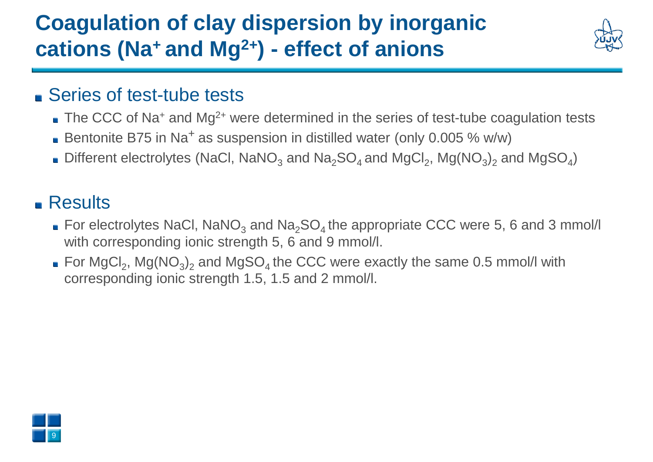## **Coagulation of clay dispersion by inorganic cations (Na<sup>+</sup>and Mg2+) - effect of anions**



### ■ Series of test-tube tests

- $\blacksquare$  The CCC of Na<sup>+</sup> and Mg<sup>2+</sup> were determined in the series of test-tube coagulation tests
- Bentonite B75 in Na<sup>+</sup> as suspension in distilled water (only  $0.005$  % w/w)
- Different electrolytes (NaCl, NaNO<sub>3</sub> and Na<sub>2</sub>SO<sub>4</sub> and MgCl<sub>2</sub>, Mg(NO<sub>3</sub>)<sub>2</sub> and MgSO<sub>4</sub>)

### **Results**

- For electrolytes NaCl, NaNO<sub>3</sub> and Na<sub>2</sub>SO<sub>4</sub> the appropriate CCC were 5, 6 and 3 mmol/l with corresponding ionic strength 5, 6 and 9 mmol/l.
- For MgCl<sub>2</sub>, Mg(NO<sub>3</sub>)<sub>2</sub> and MgSO<sub>4</sub> the CCC were exactly the same 0.5 mmol/l with corresponding ionic strength 1.5, 1.5 and 2 mmol/l.

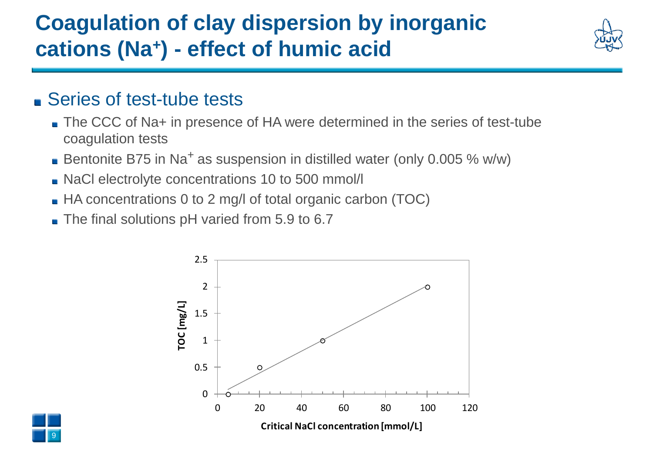## **Coagulation of clay dispersion by inorganic cations (Na<sup>+</sup> ) - effect of humic acid**



#### ■ Series of test-tube tests

- The CCC of Na+ in presence of HA were determined in the series of test-tube coagulation tests
- Bentonite B75 in Na<sup>+</sup> as suspension in distilled water (only 0.005 % w/w)
- NaCl electrolyte concentrations 10 to 500 mmol/l
- HA concentrations 0 to 2 mg/l of total organic carbon (TOC)
- The final solutions pH varied from 5.9 to 6.7



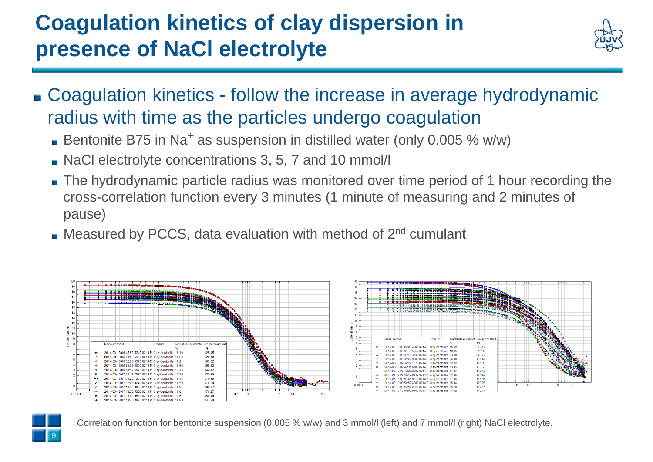## **Coagulation kinetics of clay dispersion in presence of NaCl electrolyte**



- Coagulation kinetics follow the increase in average hydrodynamic radius with time as the particles undergo coagulation
	- Bentonite B75 in Na<sup>+</sup> as suspension in distilled water (only  $0.005$  % w/w)
	- NaCl electrolyte concentrations 3, 5, 7 and 10 mmol/l
	- The hydrodynamic particle radius was monitored over time period of 1 hour recording the cross-correlation function every 3 minutes (1 minute of measuring and 2 minutes of pause)
	- $\blacksquare$  Measured by PCCS, data evaluation with method of  $2^{nd}$  cumulant





Correlation function for bentonite suspension (0.005 % w/w) and 3 mmol/l (left) and 7 mmol/l (right) NaCl electrolyte.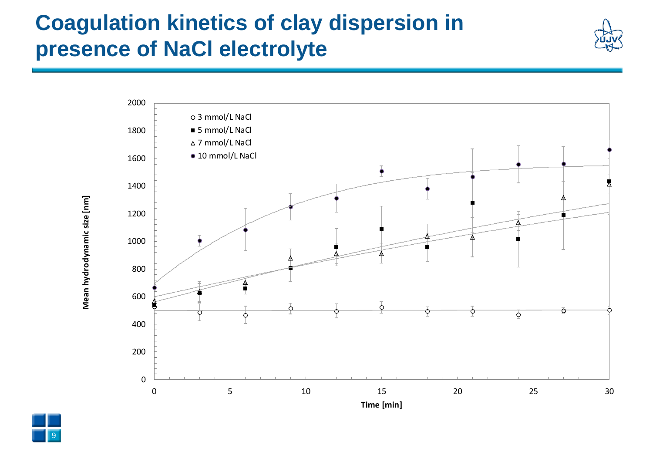### **Coagulation kinetics of clay dispersion in presence of NaCl electrolyte**





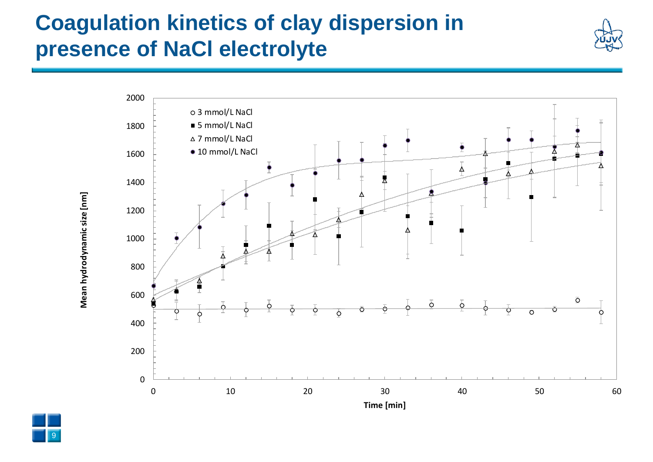### **Coagulation kinetics of clay dispersion in presence of NaCl electrolyte**





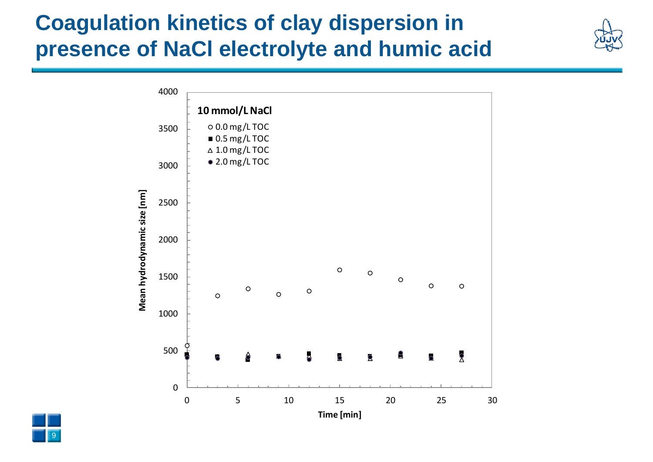## **Coagulation kinetics of clay dispersion in presence of NaCl electrolyte and humic acid**



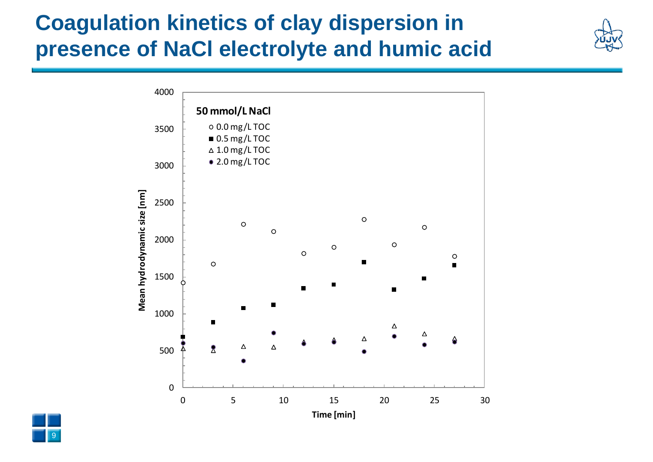## **Coagulation kinetics of clay dispersion in presence of NaCl electrolyte and humic acid**



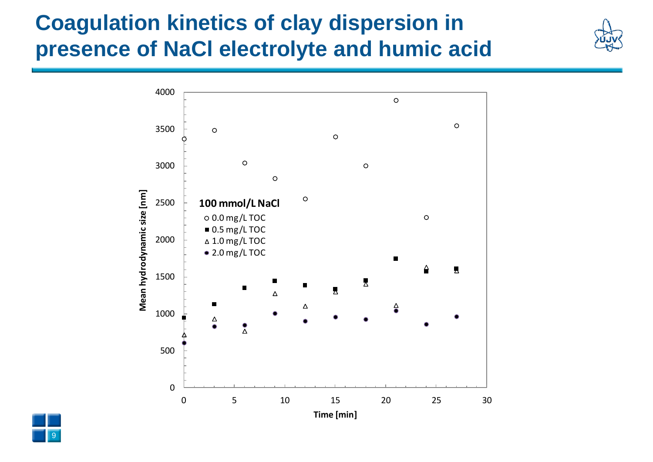## **Coagulation kinetics of clay dispersion in presence of NaCl electrolyte and humic acid**